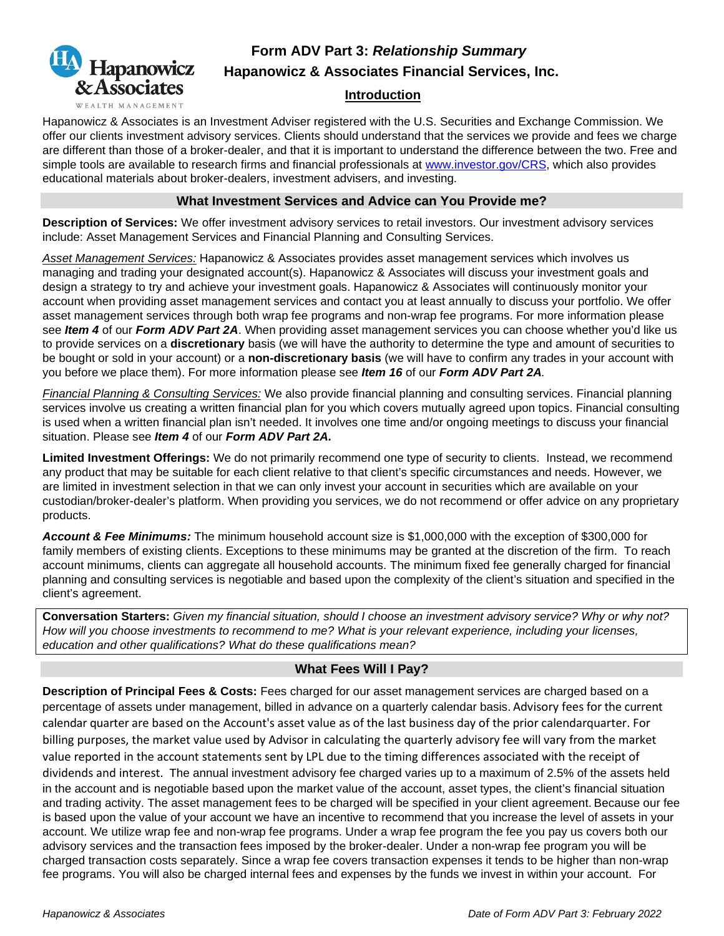

# **Form ADV Part 3:** *Relationship Summary*  **Hapanowicz & Associates Financial Services, Inc.**

### **Introduction**

Hapanowicz & Associates is an Investment Adviser registered with the U.S. Securities and Exchange Commission. We offer our clients investment advisory services. Clients should understand that the services we provide and fees we charge are different than those of a broker-dealer, and that it is important to understand the difference between the two. Free and simple tools are available to research firms and financial professionals at www.investor.gov/CRS, which also provides educational materials about broker-dealers, investment advisers, and investing.

### **What Investment Services and Advice can You Provide me?**

**Description of Services:** We offer investment advisory services to retail investors. Our investment advisory services include: Asset Management Services and Financial Planning and Consulting Services.

*Asset Management Services:* Hapanowicz & Associates provides asset management services which involves us managing and trading your designated account(s). Hapanowicz & Associates will discuss your investment goals and design a strategy to try and achieve your investment goals. Hapanowicz & Associates will continuously monitor your account when providing asset management services and contact you at least annually to discuss your portfolio. We offer asset management services through both wrap fee programs and non-wrap fee programs. For more information please see *Item 4* of our *Form ADV Part 2A*. When providing asset management services you can choose whether you'd like us to provide services on a **discretionary** basis (we will have the authority to determine the type and amount of securities to be bought or sold in your account) or a **non-discretionary basis** (we will have to confirm any trades in your account with you before we place them). For more information please see *Item 16* of our *Form ADV Part 2A.*

*Financial Planning & Consulting Services:* We also provide financial planning and consulting services. Financial planning services involve us creating a written financial plan for you which covers mutually agreed upon topics. Financial consulting is used when a written financial plan isn't needed. It involves one time and/or ongoing meetings to discuss your financial situation. Please see *Item 4* of our *Form ADV Part 2A.*

**Limited Investment Offerings:** We do not primarily recommend one type of security to clients. Instead, we recommend any product that may be suitable for each client relative to that client's specific circumstances and needs. However, we are limited in investment selection in that we can only invest your account in securities which are available on your custodian/broker-dealer's platform. When providing you services, we do not recommend or offer advice on any proprietary products.

*Account & Fee Minimums:* The minimum household account size is \$1,000,000 with the exception of \$300,000 for family members of existing clients. Exceptions to these minimums may be granted at the discretion of the firm. To reach account minimums, clients can aggregate all household accounts. The minimum fixed fee generally charged for financial planning and consulting services is negotiable and based upon the complexity of the client's situation and specified in the client's agreement.

**Conversation Starters:** *Given my financial situation, should I choose an investment advisory service? Why or why not? How will you choose investments to recommend to me? What is your relevant experience, including your licenses, education and other qualifications? What do these qualifications mean?*

# **What Fees Will I Pay?**

**Description of Principal Fees & Costs:** Fees charged for our asset management services are charged based on a percentage of assets under management, billed in advance on a quarterly calendar basis. Advisory fees for the current calendar quarter are based on the Account's asset value as of the last business day of the prior calendarquarter. For billing purposes, the market value used by Advisor in calculating the quarterly advisory fee will vary from the market value reported in the account statements sent by LPL due to the timing differences associated with the receipt of dividends and interest. The annual investment advisory fee charged varies up to a maximum of 2.5% of the assets held in the account and is negotiable based upon the market value of the account, asset types, the client's financial situation and trading activity. The asset management fees to be charged will be specified in your client agreement. Because our fee is based upon the value of your account we have an incentive to recommend that you increase the level of assets in your account. We utilize wrap fee and non-wrap fee programs. Under a wrap fee program the fee you pay us covers both our advisory services and the transaction fees imposed by the broker-dealer. Under a non-wrap fee program you will be charged transaction costs separately. Since a wrap fee covers transaction expenses it tends to be higher than non-wrap fee programs. You will also be charged internal fees and expenses by the funds we invest in within your account. For